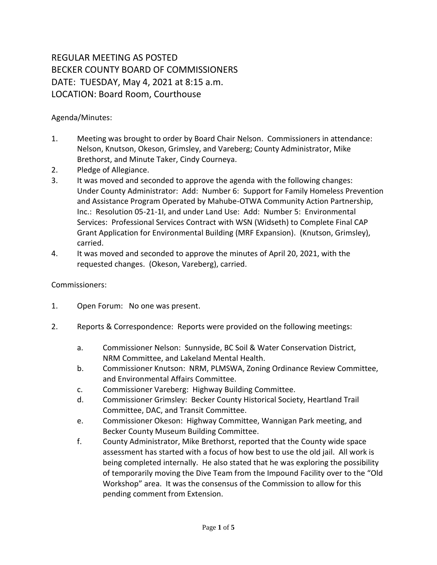## REGULAR MEETING AS POSTED BECKER COUNTY BOARD OF COMMISSIONERS DATE: TUESDAY, May 4, 2021 at 8:15 a.m. LOCATION: Board Room, Courthouse

Agenda/Minutes:

- 1. Meeting was brought to order by Board Chair Nelson. Commissioners in attendance: Nelson, Knutson, Okeson, Grimsley, and Vareberg; County Administrator, Mike Brethorst, and Minute Taker, Cindy Courneya.
- 2. Pledge of Allegiance.
- 3. It was moved and seconded to approve the agenda with the following changes: Under County Administrator: Add: Number 6: Support for Family Homeless Prevention and Assistance Program Operated by Mahube-OTWA Community Action Partnership, Inc.: Resolution 05-21-1I, and under Land Use: Add: Number 5: Environmental Services: Professional Services Contract with WSN (Widseth) to Complete Final CAP Grant Application for Environmental Building (MRF Expansion). (Knutson, Grimsley), carried.
- 4. It was moved and seconded to approve the minutes of April 20, 2021, with the requested changes. (Okeson, Vareberg), carried.

## Commissioners:

- 1. Open Forum: No one was present.
- 2. Reports & Correspondence: Reports were provided on the following meetings:
	- a. Commissioner Nelson: Sunnyside, BC Soil & Water Conservation District, NRM Committee, and Lakeland Mental Health.
	- b. Commissioner Knutson: NRM, PLMSWA, Zoning Ordinance Review Committee, and Environmental Affairs Committee.
	- c. Commissioner Vareberg: Highway Building Committee.
	- d. Commissioner Grimsley: Becker County Historical Society, Heartland Trail Committee, DAC, and Transit Committee.
	- e. Commissioner Okeson: Highway Committee, Wannigan Park meeting, and Becker County Museum Building Committee.
	- f. County Administrator, Mike Brethorst, reported that the County wide space assessment has started with a focus of how best to use the old jail. All work is being completed internally. He also stated that he was exploring the possibility of temporarily moving the Dive Team from the Impound Facility over to the "Old Workshop" area. It was the consensus of the Commission to allow for this pending comment from Extension.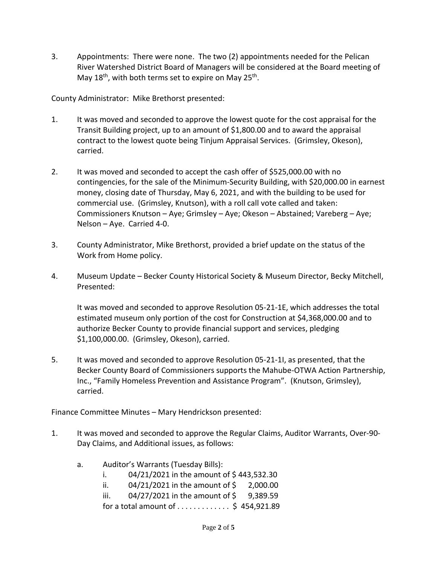3. Appointments: There were none. The two (2) appointments needed for the Pelican River Watershed District Board of Managers will be considered at the Board meeting of May 18<sup>th</sup>, with both terms set to expire on May 25<sup>th</sup>.

County Administrator: Mike Brethorst presented:

- 1. It was moved and seconded to approve the lowest quote for the cost appraisal for the Transit Building project, up to an amount of \$1,800.00 and to award the appraisal contract to the lowest quote being Tinjum Appraisal Services. (Grimsley, Okeson), carried.
- 2. It was moved and seconded to accept the cash offer of \$525,000.00 with no contingencies, for the sale of the Minimum-Security Building, with \$20,000.00 in earnest money, closing date of Thursday, May 6, 2021, and with the building to be used for commercial use. (Grimsley, Knutson), with a roll call vote called and taken: Commissioners Knutson – Aye; Grimsley – Aye; Okeson – Abstained; Vareberg – Aye; Nelson – Aye. Carried 4-0.
- 3. County Administrator, Mike Brethorst, provided a brief update on the status of the Work from Home policy.
- 4. Museum Update Becker County Historical Society & Museum Director, Becky Mitchell, Presented:

It was moved and seconded to approve Resolution 05-21-1E, which addresses the total estimated museum only portion of the cost for Construction at \$4,368,000.00 and to authorize Becker County to provide financial support and services, pledging \$1,100,000.00. (Grimsley, Okeson), carried.

5. It was moved and seconded to approve Resolution 05-21-1I, as presented, that the Becker County Board of Commissioners supports the Mahube-OTWA Action Partnership, Inc., "Family Homeless Prevention and Assistance Program". (Knutson, Grimsley), carried.

Finance Committee Minutes – Mary Hendrickson presented:

- 1. It was moved and seconded to approve the Regular Claims, Auditor Warrants, Over-90- Day Claims, and Additional issues, as follows:
	- a. Auditor's Warrants (Tuesday Bills):
		- i.  $04/21/2021$  in the amount of \$443,532.30
		- ii.  $04/21/2021$  in the amount of  $\frac{1}{2}$  2,000.00
		- iii.  $04/27/2021$  in the amount of \$ 9,389.59
		- for a total amount of  $\dots \dots \dots$ ; \$ 454,921.89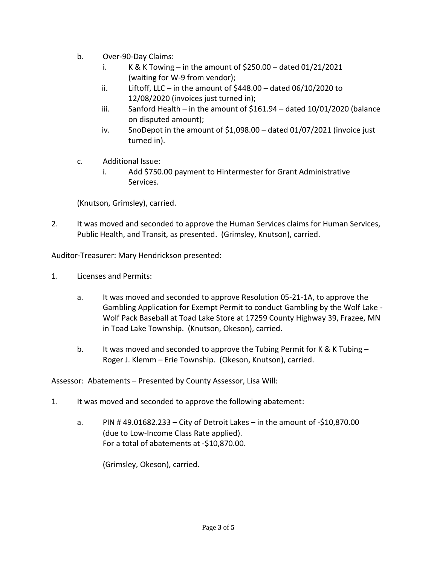- b. Over-90-Day Claims:
	- i. K & K Towing in the amount of  $$250.00$  dated  $01/21/2021$ (waiting for W-9 from vendor);
	- ii. Liftoff, LLC in the amount of  $$448.00 data$  dated 06/10/2020 to 12/08/2020 (invoices just turned in);
	- iii. Sanford Health in the amount of  $$161.94 data$  dated  $10/01/2020$  (balance on disputed amount);
	- iv. SnoDepot in the amount of \$1,098.00 dated 01/07/2021 (invoice just turned in).
- c. Additional Issue:
	- i. Add \$750.00 payment to Hintermester for Grant Administrative Services.

(Knutson, Grimsley), carried.

2. It was moved and seconded to approve the Human Services claims for Human Services, Public Health, and Transit, as presented. (Grimsley, Knutson), carried.

Auditor-Treasurer: Mary Hendrickson presented:

- 1. Licenses and Permits:
	- a. It was moved and seconded to approve Resolution 05-21-1A, to approve the Gambling Application for Exempt Permit to conduct Gambling by the Wolf Lake - Wolf Pack Baseball at Toad Lake Store at 17259 County Highway 39, Frazee, MN in Toad Lake Township. (Knutson, Okeson), carried.
	- b. It was moved and seconded to approve the Tubing Permit for K & K Tubing -Roger J. Klemm – Erie Township. (Okeson, Knutson), carried.

Assessor: Abatements – Presented by County Assessor, Lisa Will:

- 1. It was moved and seconded to approve the following abatement:
	- a. PIN # 49.01682.233 City of Detroit Lakes in the amount of -\$10,870.00 (due to Low-Income Class Rate applied). For a total of abatements at -\$10,870.00.

(Grimsley, Okeson), carried.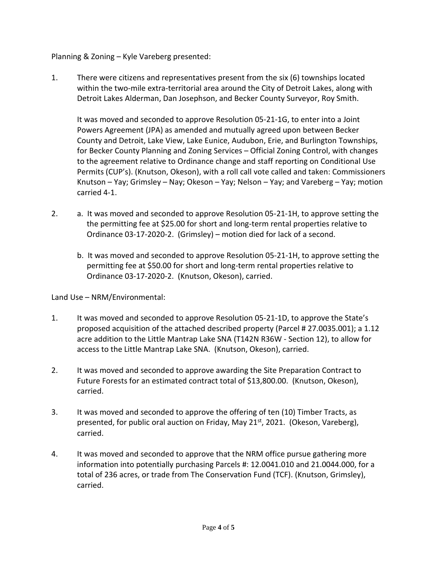Planning & Zoning – Kyle Vareberg presented:

1. There were citizens and representatives present from the six (6) townships located within the two-mile extra-territorial area around the City of Detroit Lakes, along with Detroit Lakes Alderman, Dan Josephson, and Becker County Surveyor, Roy Smith.

It was moved and seconded to approve Resolution 05-21-1G, to enter into a Joint Powers Agreement (JPA) as amended and mutually agreed upon between Becker County and Detroit, Lake View, Lake Eunice, Audubon, Erie, and Burlington Townships, for Becker County Planning and Zoning Services – Official Zoning Control, with changes to the agreement relative to Ordinance change and staff reporting on Conditional Use Permits (CUP's). (Knutson, Okeson), with a roll call vote called and taken: Commissioners Knutson – Yay; Grimsley – Nay; Okeson – Yay; Nelson – Yay; and Vareberg – Yay; motion carried 4-1.

- 2. a. It was moved and seconded to approve Resolution 05-21-1H, to approve setting the the permitting fee at \$25.00 for short and long-term rental properties relative to Ordinance 03-17-2020-2. (Grimsley) – motion died for lack of a second.
	- b. It was moved and seconded to approve Resolution 05-21-1H, to approve setting the permitting fee at \$50.00 for short and long-term rental properties relative to Ordinance 03-17-2020-2. (Knutson, Okeson), carried.

Land Use – NRM/Environmental:

- 1. It was moved and seconded to approve Resolution 05-21-1D, to approve the State's proposed acquisition of the attached described property (Parcel # 27.0035.001); a 1.12 acre addition to the Little Mantrap Lake SNA (T142N R36W - Section 12), to allow for access to the Little Mantrap Lake SNA. (Knutson, Okeson), carried.
- 2. It was moved and seconded to approve awarding the Site Preparation Contract to Future Forests for an estimated contract total of \$13,800.00. (Knutson, Okeson), carried.
- 3. It was moved and seconded to approve the offering of ten (10) Timber Tracts, as presented, for public oral auction on Friday, May 21 $<sup>st</sup>$ , 2021. (Okeson, Vareberg),</sup> carried.
- 4. It was moved and seconded to approve that the NRM office pursue gathering more information into potentially purchasing Parcels #: 12.0041.010 and 21.0044.000, for a total of 236 acres, or trade from The Conservation Fund (TCF). (Knutson, Grimsley), carried.